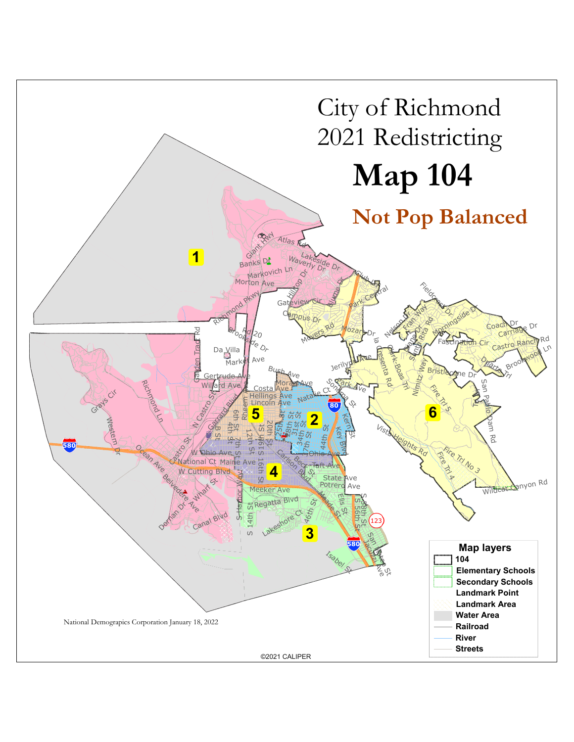